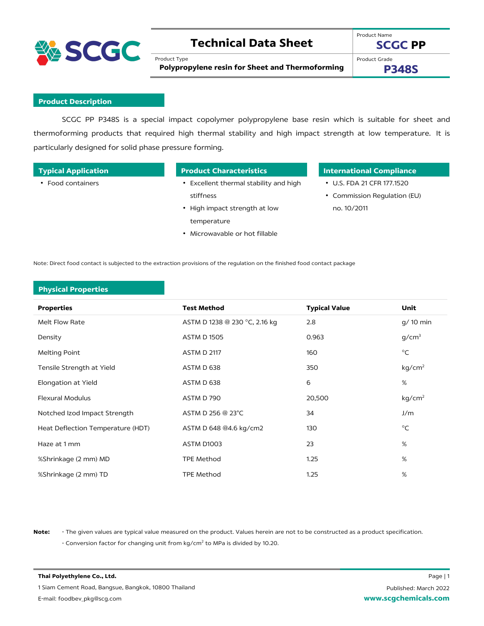

## **Technical Data Sheet**

Product Type

Product Name **SCGC PP**

**Polypropylene resin for Sheet and Thermoforming**

Product Grade

**P348S**

### **Product Description**

SCGC PP P348S is a special impact copolymer polypropylene base resin which is suitable for sheet and thermoforming products that required high thermal stability and high impact strength at low temperature. It is particularly designed for solid phase pressure forming.

| <b>Typical Application</b> | <b>Product Characteristics</b>       | <b>International Compliance</b>  |
|----------------------------|--------------------------------------|----------------------------------|
| • Food containers          | Excellent thermal stability and high | $\cdot$ U.S. FDA 21 CFR 177.1520 |

• High impact strength at low

• Microwavable or hot fillable

• Commission Regulation (EU) no. 10/2011

Note: Direct food contact is subjected to the extraction provisions of the regulation on the finished food contact package

stiffness

temperature

### **Physical Properties**

| <b>Properties</b>                 | <b>Test Method</b>            | <b>Typical Value</b> | <b>Unit</b>        |
|-----------------------------------|-------------------------------|----------------------|--------------------|
| Melt Flow Rate                    | ASTM D 1238 @ 230 °C, 2.16 kg | 2.8                  | g/ 10 min          |
| Density                           | <b>ASTM D 1505</b>            | 0.963                | g/cm <sup>3</sup>  |
| Melting Point                     | <b>ASTM D 2117</b>            | 160                  | $^{\circ}$ C       |
| Tensile Strength at Yield         | ASTM D 638                    | 350                  | kg/cm <sup>2</sup> |
| Elongation at Yield               | ASTM D 638                    | 6                    | %                  |
| <b>Flexural Modulus</b>           | ASTM D 790                    | 20,500               | kg/cm <sup>2</sup> |
| Notched Izod Impact Strength      | ASTM D 256 @ 23°C             | 34                   | J/m                |
| Heat Deflection Temperature (HDT) | ASTM D 648 @4.6 kg/cm2        | 130                  | $^{\circ}$ C       |
| Haze at 1 mm                      | ASTM D1003                    | 23                   | %                  |
| %Shrinkage (2 mm) MD              | <b>TPE Method</b>             | 1.25                 | %                  |
| %Shrinkage (2 mm) TD              | TPE Method                    | 1.25                 | $\%$               |

**Note:** - The given values are typical value measured on the product. Values herein are not to be constructed as a product specification. - Conversion factor for changing unit from kg/cm<sup>2</sup> to MPa is divided by 10.20.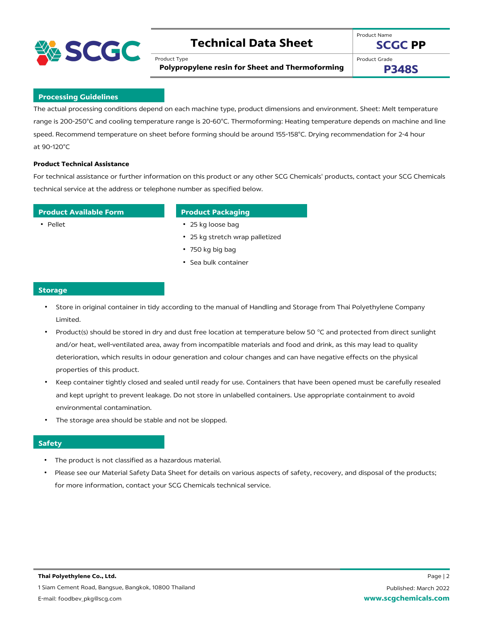

## **Technical Data Sheet**

Product Type

Product Name **SCGC PP**

**Polypropylene resin for Sheet and Thermoforming**

Product Grade

**P348S**

### **Processing Guidelines**

The actual processing conditions depend on each machine type, product dimensions and environment. Sheet: Melt temperature range is 200-250°C and cooling temperature range is 20-60°C. Thermoforming: Heating temperature depends on machine and line speed. Recommend temperature on sheet before forming should be around 155-158°C. Drying recommendation for 2-4 hour at 90-120°C

### **Product Technical Assistance**

For technical assistance or further information on this product or any other SCG Chemicals' products, contact your SCG Chemicals technical service at the address or telephone number as specified below.

### **Product Available Form Product Packaging**

- Pellet 25 kg loose bag
	- 25 kg stretch wrap palletized
	- 750 kg big bag
	- Sea bulk container

### **Storage**

- Store in original container in tidy according to the manual of Handling and Storage from Thai Polyethylene Company Limited.
- Product(s) should be stored in dry and dust free location at temperature below 50 °C and protected from direct sunlight and/or heat, well-ventilated area, away from incompatible materials and food and drink, as this may lead to quality deterioration, which results in odour generation and colour changes and can have negative effects on the physical properties of this product.
- Keep container tightly closed and sealed until ready for use. Containers that have been opened must be carefully resealed and kept upright to prevent leakage. Do not store in unlabelled containers. Use appropriate containment to avoid environmental contamination.
- The storage area should be stable and not be slopped.

### **Safety**

- The product is not classified as a hazardous material.
- Please see our Material Safety Data Sheet for details on various aspects of safety, recovery, and disposal of the products; for more information, contact your SCG Chemicals technical service.